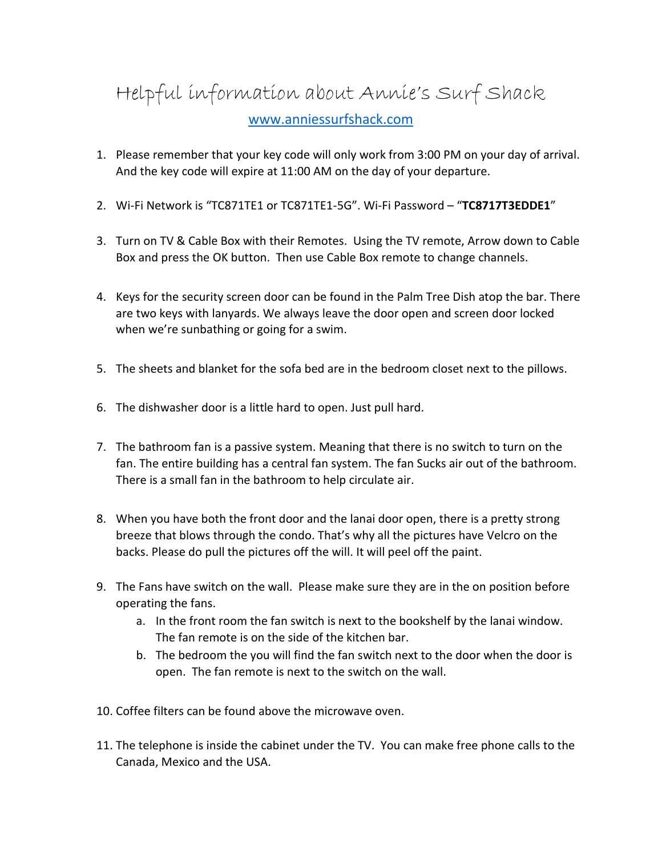## Helpful information about Annie's Surf Shack [www.anniessurfshack.com](http://www.anniessurfshack.com/)

- 1. Please remember that your key code will only work from 3:00 PM on your day of arrival. And the key code will expire at 11:00 AM on the day of your departure.
- 2. Wi-Fi Network is "TC871TE1 or TC871TE1-5G". Wi-Fi Password "**TC8717T3EDDE1**"
- 3. Turn on TV & Cable Box with their Remotes. Using the TV remote, Arrow down to Cable Box and press the OK button. Then use Cable Box remote to change channels.
- 4. Keys for the security screen door can be found in the Palm Tree Dish atop the bar. There are two keys with lanyards. We always leave the door open and screen door locked when we're sunbathing or going for a swim.
- 5. The sheets and blanket for the sofa bed are in the bedroom closet next to the pillows.
- 6. The dishwasher door is a little hard to open. Just pull hard.
- 7. The bathroom fan is a passive system. Meaning that there is no switch to turn on the fan. The entire building has a central fan system. The fan Sucks air out of the bathroom. There is a small fan in the bathroom to help circulate air.
- 8. When you have both the front door and the lanai door open, there is a pretty strong breeze that blows through the condo. That's why all the pictures have Velcro on the backs. Please do pull the pictures off the will. It will peel off the paint.
- 9. The Fans have switch on the wall. Please make sure they are in the on position before operating the fans.
	- a. In the front room the fan switch is next to the bookshelf by the lanai window. The fan remote is on the side of the kitchen bar.
	- b. The bedroom the you will find the fan switch next to the door when the door is open. The fan remote is next to the switch on the wall.
- 10. Coffee filters can be found above the microwave oven.
- 11. The telephone is inside the cabinet under the TV. You can make free phone calls to the Canada, Mexico and the USA.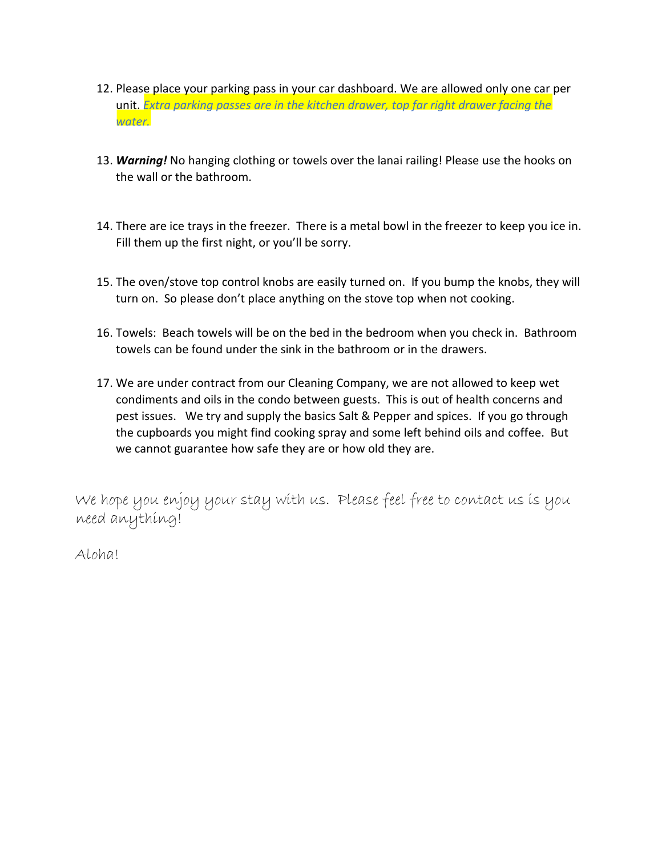- 12. Please place your parking pass in your car dashboard. We are allowed only one car per unit. *Extra parking passes are in the kitchen drawer, top far right drawer facing the water.*
- 13. *Warning!* No hanging clothing or towels over the lanai railing! Please use the hooks on the wall or the bathroom.
- 14. There are ice trays in the freezer. There is a metal bowl in the freezer to keep you ice in. Fill them up the first night, or you'll be sorry.
- 15. The oven/stove top control knobs are easily turned on. If you bump the knobs, they will turn on. So please don't place anything on the stove top when not cooking.
- 16. Towels: Beach towels will be on the bed in the bedroom when you check in. Bathroom towels can be found under the sink in the bathroom or in the drawers.
- 17. We are under contract from our Cleaning Company, we are not allowed to keep wet condiments and oils in the condo between guests. This is out of health concerns and pest issues. We try and supply the basics Salt & Pepper and spices. If you go through the cupboards you might find cooking spray and some left behind oils and coffee. But we cannot guarantee how safe they are or how old they are.

We hope you enjoy your stay with us. Please feel free to contact us is you need anything!

Aloha!